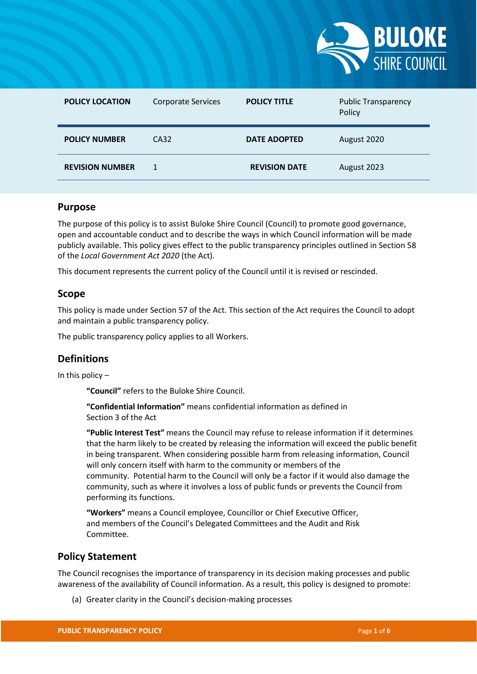

| <b>POLICY LOCATION</b> | <b>Corporate Services</b> | <b>POLICY TITLE</b>  | <b>Public Transparency</b><br>Policy |
|------------------------|---------------------------|----------------------|--------------------------------------|
| <b>POLICY NUMBER</b>   | CA32                      | <b>DATE ADOPTED</b>  | August 2020                          |
| <b>REVISION NUMBER</b> | 1                         | <b>REVISION DATE</b> | August 2023                          |

#### **Purpose**

The purpose of this policy is to assist Buloke Shire Council (Council) to promote good governance, open and accountable conduct and to describe the ways in which Council information will be made publicly available. This policy gives effect to the public transparency principles outlined in Section 58 of the *Local Government Act 2020* (the Act).

This document represents the current policy of the Council until it is revised or rescinded.

#### **Scope**

This policy is made under Section 57 of the Act. This section of the Act requires the Council to adopt and maintain a public transparency policy.

The public transparency policy applies to all Workers.

## **Definitions**

In this policy  $-$ 

**"Council"** refers to the Buloke Shire Council.

**"Confidential Information"** means confidential information as defined in Section 3 of the Act

**"Public Interest Test"** means the Council may refuse to release information if it determines that the harm likely to be created by releasing the information will exceed the public benefit in being transparent. When considering possible harm from releasing information, Council will only concern itself with harm to the community or members of the community. Potential harm to the Council will only be a factor if it would also damage the community, such as where it involves a loss of public funds or prevents the Council from performing its functions.

**"Workers"** means a Council employee, Councillor or Chief Executive Officer, and members of the Council's Delegated Committees and the Audit and Risk Committee.

#### **Policy Statement**

The Council recognises the importance of transparency in its decision making processes and public awareness of the availability of Council information. As a result, this policy is designed to promote:

(a) Greater clarity in the Council's decision-making processes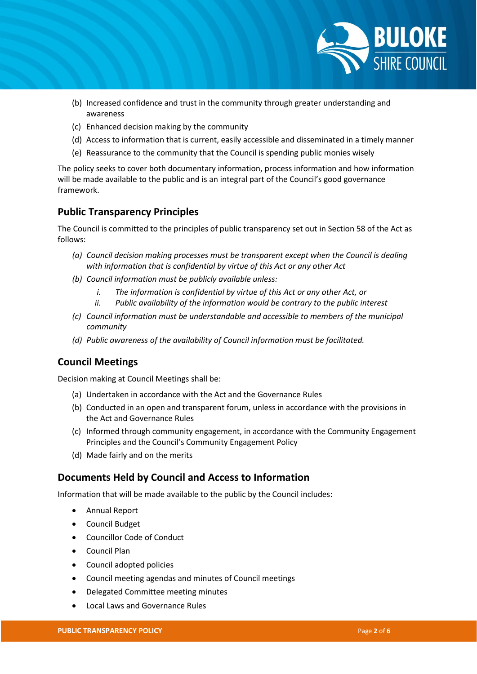

- (b) Increased confidence and trust in the community through greater understanding and awareness
- (c) Enhanced decision making by the community
- (d) Access to information that is current, easily accessible and disseminated in a timely manner
- (e) Reassurance to the community that the Council is spending public monies wisely

The policy seeks to cover both documentary information, process information and how information will be made available to the public and is an integral part of the Council's good governance framework.

## **Public Transparency Principles**

The Council is committed to the principles of public transparency set out in Section 58 of the Act as follows:

- *(a) Council decision making processes must be transparent except when the Council is dealing with information that is confidential by virtue of this Act or any other Act*
- *(b) Council information must be publicly available unless:*
	- *i. The information is confidential by virtue of this Act or any other Act, or*
	- *ii. Public availability of the information would be contrary to the public interest*
- *(c) Council information must be understandable and accessible to members of the municipal community*
- *(d) Public awareness of the availability of Council information must be facilitated.*

## **Council Meetings**

Decision making at Council Meetings shall be:

- (a) Undertaken in accordance with the Act and the Governance Rules
- (b) Conducted in an open and transparent forum, unless in accordance with the provisions in the Act and Governance Rules
- (c) Informed through community engagement, in accordance with the Community Engagement Principles and the Council's Community Engagement Policy
- (d) Made fairly and on the merits

#### **Documents Held by Council and Access to Information**

Information that will be made available to the public by the Council includes:

- Annual Report
- Council Budget
- Councillor Code of Conduct
- Council Plan
- Council adopted policies
- Council meeting agendas and minutes of Council meetings
- Delegated Committee meeting minutes
- Local Laws and Governance Rules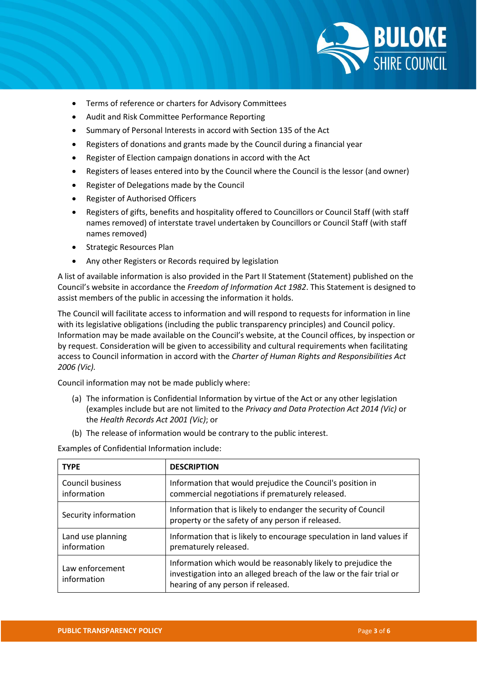

- Terms of reference or charters for Advisory Committees
- Audit and Risk Committee Performance Reporting
- Summary of Personal Interests in accord with Section 135 of the Act
- Registers of donations and grants made by the Council during a financial year
- Register of Election campaign donations in accord with the Act
- Registers of leases entered into by the Council where the Council is the lessor (and owner)
- Register of Delegations made by the Council
- Register of Authorised Officers
- Registers of gifts, benefits and hospitality offered to Councillors or Council Staff (with staff names removed) of interstate travel undertaken by Councillors or Council Staff (with staff names removed)
- Strategic Resources Plan
- Any other Registers or Records required by legislation

A list of available information is also provided in the Part II Statement (Statement) published on the Council's website in accordance the *Freedom of Information Act 1982*. This Statement is designed to assist members of the public in accessing the information it holds.

The Council will facilitate access to information and will respond to requests for information in line with its legislative obligations (including the public transparency principles) and Council policy. Information may be made available on the Council's website, at the Council offices, by inspection or by request. Consideration will be given to accessibility and cultural requirements when facilitating access to Council information in accord with the *Charter of Human Rights and Responsibilities Act 2006 (Vic).*

Council information may not be made publicly where:

- (a) The information is Confidential Information by virtue of the Act or any other legislation (examples include but are not limited to the *Privacy and Data Protection Act 2014 (Vic)* or the *Health Records Act 2001 (Vic)*; or
- (b) The release of information would be contrary to the public interest.

Examples of Confidential Information include:

| <b>TYPE</b>                      | <b>DESCRIPTION</b>                                                                                                                                                          |
|----------------------------------|-----------------------------------------------------------------------------------------------------------------------------------------------------------------------------|
| Council business<br>information  | Information that would prejudice the Council's position in<br>commercial negotiations if prematurely released.                                                              |
| Security information             | Information that is likely to endanger the security of Council<br>property or the safety of any person if released.                                                         |
| Land use planning<br>information | Information that is likely to encourage speculation in land values if<br>prematurely released.                                                                              |
| Law enforcement<br>information   | Information which would be reasonably likely to prejudice the<br>investigation into an alleged breach of the law or the fair trial or<br>hearing of any person if released. |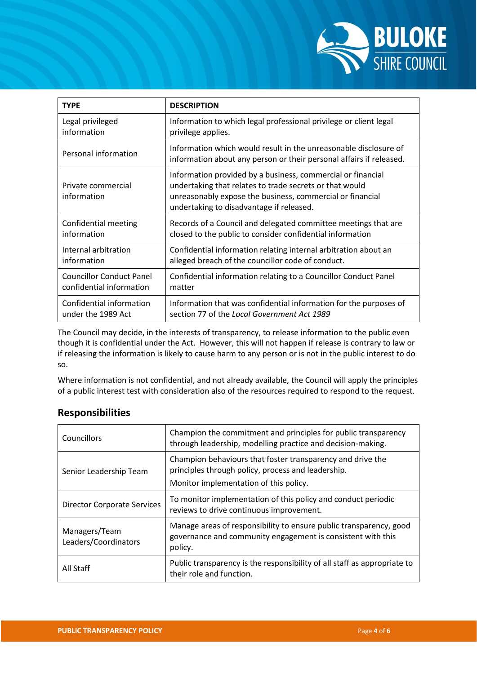

| <b>TYPE</b>                       | <b>DESCRIPTION</b>                                                                                                                                                                                                              |
|-----------------------------------|---------------------------------------------------------------------------------------------------------------------------------------------------------------------------------------------------------------------------------|
| Legal privileged                  | Information to which legal professional privilege or client legal                                                                                                                                                               |
| information                       | privilege applies.                                                                                                                                                                                                              |
| Personal information              | Information which would result in the unreasonable disclosure of<br>information about any person or their personal affairs if released.                                                                                         |
| Private commercial<br>information | Information provided by a business, commercial or financial<br>undertaking that relates to trade secrets or that would<br>unreasonably expose the business, commercial or financial<br>undertaking to disadvantage if released. |
| Confidential meeting              | Records of a Council and delegated committee meetings that are                                                                                                                                                                  |
| information                       | closed to the public to consider confidential information                                                                                                                                                                       |
| Internal arbitration              | Confidential information relating internal arbitration about an                                                                                                                                                                 |
| information                       | alleged breach of the councillor code of conduct.                                                                                                                                                                               |
| <b>Councillor Conduct Panel</b>   | Confidential information relating to a Councillor Conduct Panel                                                                                                                                                                 |
| confidential information          | matter                                                                                                                                                                                                                          |
| Confidential information          | Information that was confidential information for the purposes of                                                                                                                                                               |
| under the 1989 Act                | section 77 of the Local Government Act 1989                                                                                                                                                                                     |

The Council may decide, in the interests of transparency, to release information to the public even though it is confidential under the Act. However, this will not happen if release is contrary to law or if releasing the information is likely to cause harm to any person or is not in the public interest to do so.

Where information is not confidential, and not already available, the Council will apply the principles of a public interest test with consideration also of the resources required to respond to the request.

# **Responsibilities**

| Councillors                           | Champion the commitment and principles for public transparency<br>through leadership, modelling practice and decision-making.                              |
|---------------------------------------|------------------------------------------------------------------------------------------------------------------------------------------------------------|
| Senior Leadership Team                | Champion behaviours that foster transparency and drive the<br>principles through policy, process and leadership.<br>Monitor implementation of this policy. |
| <b>Director Corporate Services</b>    | To monitor implementation of this policy and conduct periodic<br>reviews to drive continuous improvement.                                                  |
| Managers/Team<br>Leaders/Coordinators | Manage areas of responsibility to ensure public transparency, good<br>governance and community engagement is consistent with this<br>policy.               |
| All Staff                             | Public transparency is the responsibility of all staff as appropriate to<br>their role and function.                                                       |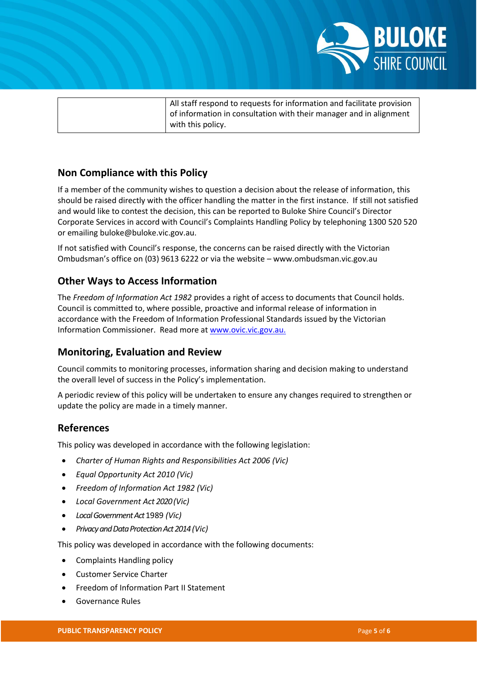

| All staff respond to requests for information and facilitate provision |
|------------------------------------------------------------------------|
| of information in consultation with their manager and in alignment     |
| with this policy.                                                      |

## **Non Compliance with this Policy**

If a member of the community wishes to question a decision about the release of information, this should be raised directly with the officer handling the matter in the first instance. If still not satisfied and would like to contest the decision, this can be reported to Buloke Shire Council's Director Corporate Services in accord with Council's Complaints Handling Policy by telephoning 1300 520 520 or emailing buloke@buloke.vic.gov.au.

If not satisfied with Council's response, the concerns can be raised directly with the Victorian Ombudsman's office on (03) 9613 6222 or via the website – www.ombudsman.vic.gov.au

### **Other Ways to Access Information**

The *Freedom of Information Act 1982* provides a right of access to documents that Council holds. Council is committed to, where possible, proactive and informal release of information in accordance with the Freedom of Information Professional Standards issued by the Victorian Information Commissioner. Read more at [www.ovic.vic.gov.au.](http://www.ovic.vic.gov.au/)

#### **Monitoring, Evaluation and Review**

Council commits to monitoring processes, information sharing and decision making to understand the overall level of success in the Policy's implementation.

A periodic review of this policy will be undertaken to ensure any changes required to strengthen or update the policy are made in a timely manner.

#### **References**

This policy was developed in accordance with the following legislation:

- *Charter of Human Rights and Responsibilities Act 2006 (Vic)*
- *Equal Opportunity Act 2010 (Vic)*
- *Freedom of Information Act 1982 (Vic)*
- *Local Government Act 2020(Vic)*
- *Local Government Act* 1989 *(Vic)*
- *Privacy and Data Protection Act2014(Vic)*

This policy was developed in accordance with the following documents:

- Complaints Handling policy
- Customer Service Charter
- Freedom of Information Part II Statement
- Governance Rules